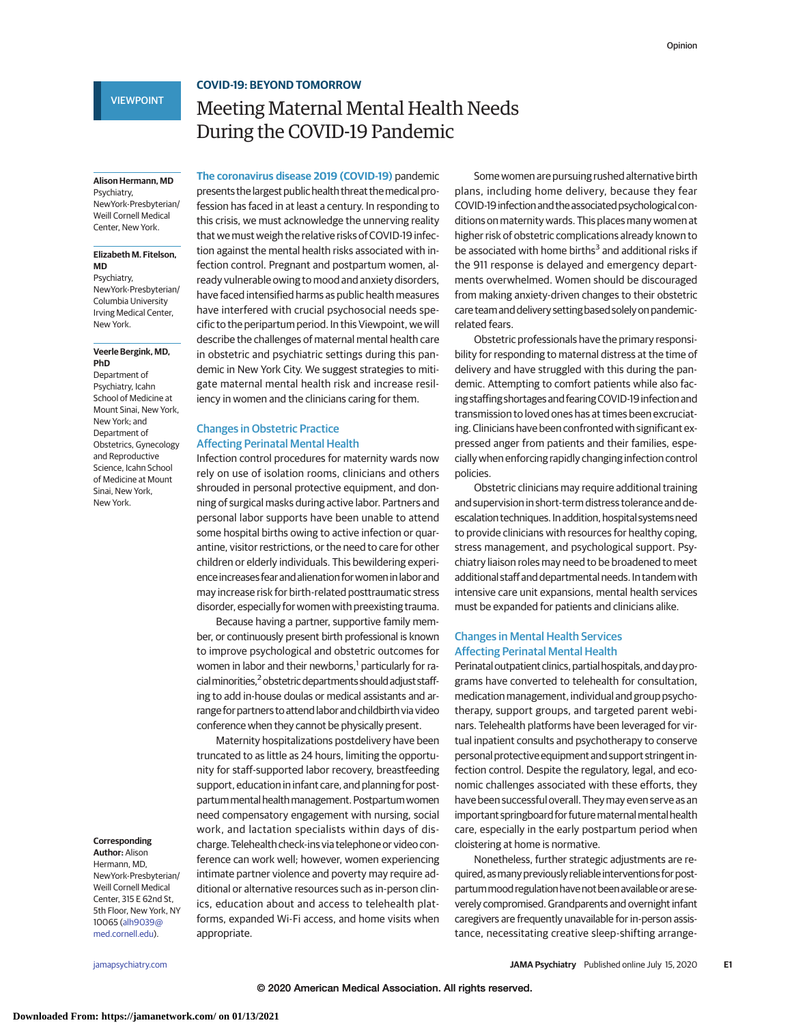## **COVID-19: BEYOND TOMORROW**

## VIEWPOINT

# Meeting Maternal Mental Health Needs During the COVID-19 Pandemic

**Alison Hermann, MD** Psychiatry,

NewYork-Presbyterian/ Weill Cornell Medical Center, New York.

#### **Elizabeth M. Fitelson, MD**

Psychiatry, NewYork-Presbyterian/ Columbia University Irving Medical Center, New York.

#### **Veerle Bergink, MD, PhD**

Department of Psychiatry, Icahn School of Medicine at Mount Sinai, New York, New York; and Department of Obstetrics, Gynecology and Reproductive Science, Icahn School of Medicine at Mount Sinai, New York, New York.

## **Corresponding**

**Author:** Alison Hermann, MD, NewYork-Presbyterian/ Weill Cornell Medical Center, 315 E 62nd St, 5th Floor, New York, NY 10065 [\(alh9039@](mailto:alh9039@med.cornell.edu) [med.cornell.edu\)](mailto:alh9039@med.cornell.edu).

**The coronavirus disease 2019 (COVID-19)** pandemic presents the largest public health threat themedical profession has faced in at least a century. In responding to this crisis, we must acknowledge the unnerving reality that we must weigh the relative risks of COVID-19 infection against the mental health risks associated with infection control. Pregnant and postpartum women, already vulnerable owing to mood and anxiety disorders, have faced intensified harms as public health measures have interfered with crucial psychosocial needs specific to the peripartum period. In this Viewpoint, we will describe the challenges of maternal mental health care in obstetric and psychiatric settings during this pandemic in New York City. We suggest strategies to mitigate maternal mental health risk and increase resil-

## Changes in Obstetric Practice Affecting Perinatal Mental Health

Infection control procedures for maternity wards now rely on use of isolation rooms, clinicians and others shrouded in personal protective equipment, and donning of surgical masks during active labor. Partners and personal labor supports have been unable to attend some hospital births owing to active infection or quarantine, visitor restrictions, or the need to care for other children or elderly individuals. This bewildering experience increases fear and alienation for women in labor and may increase risk for birth-related posttraumatic stress disorder, especially for women with preexisting trauma.

iency in women and the clinicians caring for them.

Because having a partner, supportive family member, or continuously present birth professional is known to improve psychological and obstetric outcomes for women in labor and their newborns,<sup>1</sup> particularly for racial minorities,<sup>2</sup> obstetric departments should adjust staffing to add in-house doulas or medical assistants and arrange for partners to attend labor and childbirth via video conference when they cannot be physically present.

Maternity hospitalizations postdelivery have been truncated to as little as 24 hours, limiting the opportunity for staff-supported labor recovery, breastfeeding support, education in infant care, and planning for postpartummental healthmanagement. Postpartumwomen need compensatory engagement with nursing, social work, and lactation specialists within days of discharge. Telehealth check-ins via telephone or video conference can work well; however, women experiencing intimate partner violence and poverty may require additional or alternative resources such as in-person clinics, education about and access to telehealth platforms, expanded Wi-Fi access, and home visits when appropriate.

Some women are pursuing rushed alternative birth plans, including home delivery, because they fear COVID-19 infection and the associated psychological conditions on maternity wards. This places many women at higher risk of obstetric complications already known to be associated with home births<sup>3</sup> and additional risks if the 911 response is delayed and emergency departments overwhelmed. Women should be discouraged from making anxiety-driven changes to their obstetric care teamand delivery setting based solely on pandemicrelated fears.

Obstetric professionals have the primary responsibility for responding to maternal distress at the time of delivery and have struggled with this during the pandemic. Attempting to comfort patients while also facing staffing shortages and fearing COVID-19 infection and transmission to loved ones has at times been excruciating. Clinicians have been confronted with significant expressed anger from patients and their families, especially when enforcing rapidly changing infection control policies.

Obstetric clinicians may require additional training and supervision in short-term distress tolerance and deescalation techniques. In addition, hospital systems need to provide clinicians with resources for healthy coping, stress management, and psychological support. Psychiatry liaison roles may need to be broadened to meet additional staff and departmental needs. In tandem with intensive care unit expansions, mental health services must be expanded for patients and clinicians alike.

## Changes in Mental Health Services Affecting Perinatal Mental Health

Perinatal outpatient clinics, partial hospitals, and day programs have converted to telehealth for consultation, medication management, individual and group psychotherapy, support groups, and targeted parent webinars. Telehealth platforms have been leveraged for virtual inpatient consults and psychotherapy to conserve personal protective equipment and support stringent infection control. Despite the regulatory, legal, and economic challenges associated with these efforts, they have been successful overall. Theymay even serve as an important springboard for future maternal mental health care, especially in the early postpartum period when cloistering at home is normative.

Nonetheless, further strategic adjustments are required, as many previously reliable interventions for postpartum mood regulation have not been available or are severely compromised. Grandparents and overnight infant caregivers are frequently unavailable for in-person assistance, necessitating creative sleep-shifting arrange-